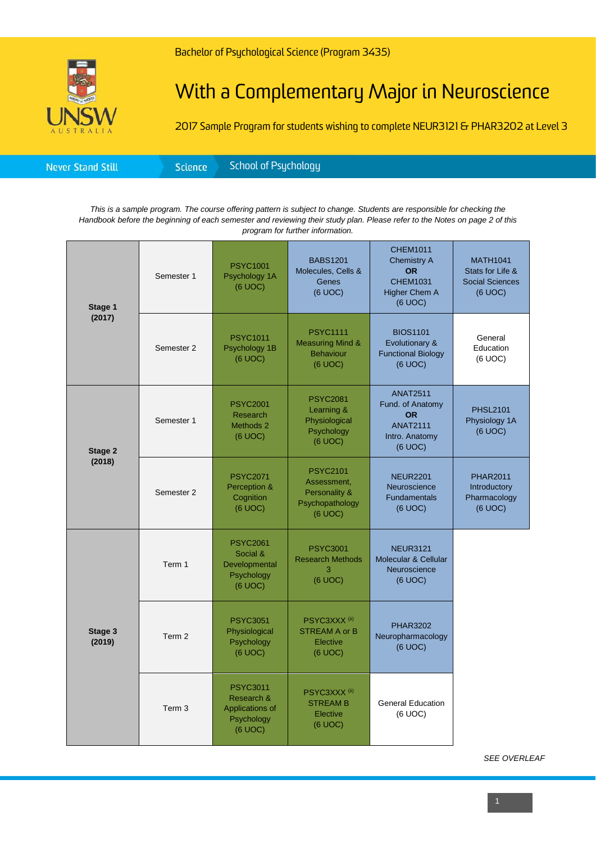## With a Complementary Major in Neuroscience

2017 Sample Program for students wishing to complete NEUR3121 & PHAR3202 at Level 3

|--|

*This is a sample program. The course offering pattern is subject to change. Students are responsible for checking the Handbook before the beginning of each semester and reviewing their study plan. Please refer to the Notes on page 2 of this program for further information.*

| Stage 1<br>(2017) | Semester 1        | <b>PSYC1001</b><br>Psychology 1A<br>(6 UOC)                               | <b>BABS1201</b><br>Molecules, Cells &<br>Genes<br>(6 UOC)                     | <b>CHEM1011</b><br><b>Chemistry A</b><br><b>OR</b><br><b>CHEM1031</b><br><b>Higher Chem A</b><br>(6 UOC) | <b>MATH1041</b><br>Stats for Life &<br><b>Social Sciences</b><br>(6 UOC) |
|-------------------|-------------------|---------------------------------------------------------------------------|-------------------------------------------------------------------------------|----------------------------------------------------------------------------------------------------------|--------------------------------------------------------------------------|
|                   | Semester 2        | <b>PSYC1011</b><br>Psychology 1B<br>(6 UOC)                               | <b>PSYC1111</b><br><b>Measuring Mind &amp;</b><br><b>Behaviour</b><br>(6 UOC) | <b>BIOS1101</b><br>Evolutionary &<br><b>Functional Biology</b><br>(6 UOC)                                | General<br>Education<br>(6 UOC)                                          |
| Stage 2           | Semester 1        | <b>PSYC2001</b><br>Research<br>Methods 2<br>(6 UOC)                       | <b>PSYC2081</b><br>Learning &<br>Physiological<br>Psychology<br>(6 UOC)       | <b>ANAT2511</b><br>Fund. of Anatomy<br><b>OR</b><br><b>ANAT2111</b><br>Intro. Anatomy<br>(6 UOC)         | <b>PHSL2101</b><br>Physiology 1A<br>(6 UOC)                              |
| (2018)            | Semester 2        | <b>PSYC2071</b><br>Perception &<br>Cognition<br>(6 UOC)                   | <b>PSYC2101</b><br>Assessment,<br>Personality &<br>Psychopathology<br>(6 UOC) | <b>NEUR2201</b><br>Neuroscience<br><b>Fundamentals</b><br>(6 UOC)                                        | <b>PHAR2011</b><br>Introductory<br>Pharmacology<br>(6 UOC)               |
| Stage 3<br>(2019) | Term 1            | <b>PSYC2061</b><br>Social &<br>Developmental<br>Psychology<br>(6 UOC)     | <b>PSYC3001</b><br><b>Research Methods</b><br>3<br>(6 UOC)                    | <b>NEUR3121</b><br>Molecular & Cellular<br>Neuroscience<br>(6 UOC)                                       |                                                                          |
|                   | Term 2            | <b>PSYC3051</b><br>Physiological<br>Psychology<br>(6 UOC)                 | PSYC3XXX <sup>(ii)</sup><br><b>STREAM A or B</b><br>Elective<br>(6 UOC)       | <b>PHAR3202</b><br>Neuropharmacology<br>(6 UOC)                                                          |                                                                          |
|                   | Term <sub>3</sub> | <b>PSYC3011</b><br>Research &<br>Applications of<br>Psychology<br>(6 UOC) | PSYC3XXX <sup>(ii)</sup><br><b>STREAM B</b><br>Elective<br>(6 UOC)            | <b>General Education</b><br>(6 UOC)                                                                      |                                                                          |

*SEE OVERLEAF*